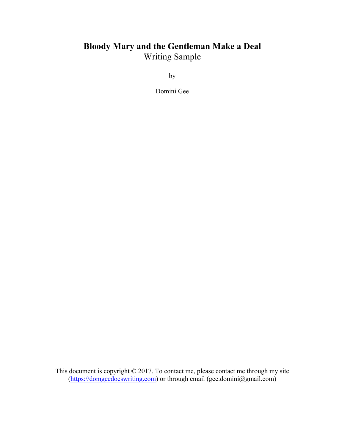## **Bloody Mary and the Gentleman Make a Deal** Writing Sample

by

Domini Gee

This document is copyright © 2017. To contact me, please contact me through my site (https://domgeedoeswriting.com) or through email (gee.domini@gmail.com)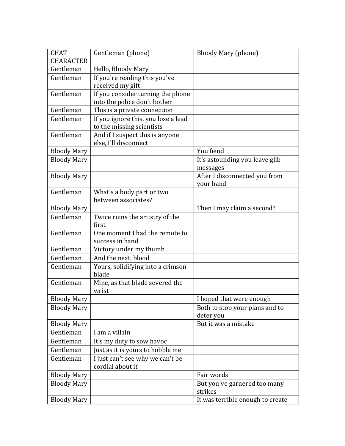| <b>CHARACTER</b><br>Gentleman<br>Hello, Bloody Mary<br>If you're reading this you've<br>Gentleman<br>received my gift<br>If you consider turning the phone<br>Gentleman<br>into the police don't bother<br>Gentleman<br>This is a private connection<br>If you ignore this, you lose a lead<br>Gentleman<br>to the missing scientists<br>And if I suspect this is anyone<br>Gentleman<br>else, I'll disconnect<br>You fiend<br><b>Bloody Mary</b><br>It's astounding you leave glib<br><b>Bloody Mary</b><br>messages<br><b>Bloody Mary</b><br>After I disconnected you from<br>your hand<br>Gentleman<br>What's a body part or two<br>between associates?<br>Then I may claim a second?<br><b>Bloody Mary</b><br>Gentleman<br>Twice ruins the artistry of the<br>first<br>Gentleman<br>One moment I had the remote to<br>success in hand<br>Gentleman<br>Victory under my thumb<br>And the next, blood<br>Gentleman<br>Gentleman<br>Yours, solidifying into a crimson<br>blade<br>Gentleman<br>Mine, as that blade severed the<br>wrist<br><b>Bloody Mary</b><br>I hoped that were enough<br><b>Bloody Mary</b><br>Both to stop your plans and to<br>deter you<br>But it was a mistake<br><b>Bloody Mary</b><br>Gentleman<br>I am a villain<br>Gentleman<br>It's my duty to sow havoc<br>Gentleman<br>Just as it is yours to hobble me<br>I just can't see why we can't be<br>Gentleman<br>cordial about it<br><b>Bloody Mary</b><br>Fair words<br><b>Bloody Mary</b><br>But you've garnered too many<br>strikes | <b>CHAT</b> | Gentleman (phone) | <b>Bloody Mary (phone)</b> |
|-------------------------------------------------------------------------------------------------------------------------------------------------------------------------------------------------------------------------------------------------------------------------------------------------------------------------------------------------------------------------------------------------------------------------------------------------------------------------------------------------------------------------------------------------------------------------------------------------------------------------------------------------------------------------------------------------------------------------------------------------------------------------------------------------------------------------------------------------------------------------------------------------------------------------------------------------------------------------------------------------------------------------------------------------------------------------------------------------------------------------------------------------------------------------------------------------------------------------------------------------------------------------------------------------------------------------------------------------------------------------------------------------------------------------------------------------------------------------------------------------------------------|-------------|-------------------|----------------------------|
|                                                                                                                                                                                                                                                                                                                                                                                                                                                                                                                                                                                                                                                                                                                                                                                                                                                                                                                                                                                                                                                                                                                                                                                                                                                                                                                                                                                                                                                                                                                   |             |                   |                            |
|                                                                                                                                                                                                                                                                                                                                                                                                                                                                                                                                                                                                                                                                                                                                                                                                                                                                                                                                                                                                                                                                                                                                                                                                                                                                                                                                                                                                                                                                                                                   |             |                   |                            |
|                                                                                                                                                                                                                                                                                                                                                                                                                                                                                                                                                                                                                                                                                                                                                                                                                                                                                                                                                                                                                                                                                                                                                                                                                                                                                                                                                                                                                                                                                                                   |             |                   |                            |
|                                                                                                                                                                                                                                                                                                                                                                                                                                                                                                                                                                                                                                                                                                                                                                                                                                                                                                                                                                                                                                                                                                                                                                                                                                                                                                                                                                                                                                                                                                                   |             |                   |                            |
|                                                                                                                                                                                                                                                                                                                                                                                                                                                                                                                                                                                                                                                                                                                                                                                                                                                                                                                                                                                                                                                                                                                                                                                                                                                                                                                                                                                                                                                                                                                   |             |                   |                            |
|                                                                                                                                                                                                                                                                                                                                                                                                                                                                                                                                                                                                                                                                                                                                                                                                                                                                                                                                                                                                                                                                                                                                                                                                                                                                                                                                                                                                                                                                                                                   |             |                   |                            |
|                                                                                                                                                                                                                                                                                                                                                                                                                                                                                                                                                                                                                                                                                                                                                                                                                                                                                                                                                                                                                                                                                                                                                                                                                                                                                                                                                                                                                                                                                                                   |             |                   |                            |
|                                                                                                                                                                                                                                                                                                                                                                                                                                                                                                                                                                                                                                                                                                                                                                                                                                                                                                                                                                                                                                                                                                                                                                                                                                                                                                                                                                                                                                                                                                                   |             |                   |                            |
|                                                                                                                                                                                                                                                                                                                                                                                                                                                                                                                                                                                                                                                                                                                                                                                                                                                                                                                                                                                                                                                                                                                                                                                                                                                                                                                                                                                                                                                                                                                   |             |                   |                            |
|                                                                                                                                                                                                                                                                                                                                                                                                                                                                                                                                                                                                                                                                                                                                                                                                                                                                                                                                                                                                                                                                                                                                                                                                                                                                                                                                                                                                                                                                                                                   |             |                   |                            |
|                                                                                                                                                                                                                                                                                                                                                                                                                                                                                                                                                                                                                                                                                                                                                                                                                                                                                                                                                                                                                                                                                                                                                                                                                                                                                                                                                                                                                                                                                                                   |             |                   |                            |
|                                                                                                                                                                                                                                                                                                                                                                                                                                                                                                                                                                                                                                                                                                                                                                                                                                                                                                                                                                                                                                                                                                                                                                                                                                                                                                                                                                                                                                                                                                                   |             |                   |                            |
|                                                                                                                                                                                                                                                                                                                                                                                                                                                                                                                                                                                                                                                                                                                                                                                                                                                                                                                                                                                                                                                                                                                                                                                                                                                                                                                                                                                                                                                                                                                   |             |                   |                            |
|                                                                                                                                                                                                                                                                                                                                                                                                                                                                                                                                                                                                                                                                                                                                                                                                                                                                                                                                                                                                                                                                                                                                                                                                                                                                                                                                                                                                                                                                                                                   |             |                   |                            |
|                                                                                                                                                                                                                                                                                                                                                                                                                                                                                                                                                                                                                                                                                                                                                                                                                                                                                                                                                                                                                                                                                                                                                                                                                                                                                                                                                                                                                                                                                                                   |             |                   |                            |
|                                                                                                                                                                                                                                                                                                                                                                                                                                                                                                                                                                                                                                                                                                                                                                                                                                                                                                                                                                                                                                                                                                                                                                                                                                                                                                                                                                                                                                                                                                                   |             |                   |                            |
|                                                                                                                                                                                                                                                                                                                                                                                                                                                                                                                                                                                                                                                                                                                                                                                                                                                                                                                                                                                                                                                                                                                                                                                                                                                                                                                                                                                                                                                                                                                   |             |                   |                            |
|                                                                                                                                                                                                                                                                                                                                                                                                                                                                                                                                                                                                                                                                                                                                                                                                                                                                                                                                                                                                                                                                                                                                                                                                                                                                                                                                                                                                                                                                                                                   |             |                   |                            |
|                                                                                                                                                                                                                                                                                                                                                                                                                                                                                                                                                                                                                                                                                                                                                                                                                                                                                                                                                                                                                                                                                                                                                                                                                                                                                                                                                                                                                                                                                                                   |             |                   |                            |
|                                                                                                                                                                                                                                                                                                                                                                                                                                                                                                                                                                                                                                                                                                                                                                                                                                                                                                                                                                                                                                                                                                                                                                                                                                                                                                                                                                                                                                                                                                                   |             |                   |                            |
|                                                                                                                                                                                                                                                                                                                                                                                                                                                                                                                                                                                                                                                                                                                                                                                                                                                                                                                                                                                                                                                                                                                                                                                                                                                                                                                                                                                                                                                                                                                   |             |                   |                            |
|                                                                                                                                                                                                                                                                                                                                                                                                                                                                                                                                                                                                                                                                                                                                                                                                                                                                                                                                                                                                                                                                                                                                                                                                                                                                                                                                                                                                                                                                                                                   |             |                   |                            |
|                                                                                                                                                                                                                                                                                                                                                                                                                                                                                                                                                                                                                                                                                                                                                                                                                                                                                                                                                                                                                                                                                                                                                                                                                                                                                                                                                                                                                                                                                                                   |             |                   |                            |
|                                                                                                                                                                                                                                                                                                                                                                                                                                                                                                                                                                                                                                                                                                                                                                                                                                                                                                                                                                                                                                                                                                                                                                                                                                                                                                                                                                                                                                                                                                                   |             |                   |                            |
|                                                                                                                                                                                                                                                                                                                                                                                                                                                                                                                                                                                                                                                                                                                                                                                                                                                                                                                                                                                                                                                                                                                                                                                                                                                                                                                                                                                                                                                                                                                   |             |                   |                            |
|                                                                                                                                                                                                                                                                                                                                                                                                                                                                                                                                                                                                                                                                                                                                                                                                                                                                                                                                                                                                                                                                                                                                                                                                                                                                                                                                                                                                                                                                                                                   |             |                   |                            |
|                                                                                                                                                                                                                                                                                                                                                                                                                                                                                                                                                                                                                                                                                                                                                                                                                                                                                                                                                                                                                                                                                                                                                                                                                                                                                                                                                                                                                                                                                                                   |             |                   |                            |
|                                                                                                                                                                                                                                                                                                                                                                                                                                                                                                                                                                                                                                                                                                                                                                                                                                                                                                                                                                                                                                                                                                                                                                                                                                                                                                                                                                                                                                                                                                                   |             |                   |                            |
|                                                                                                                                                                                                                                                                                                                                                                                                                                                                                                                                                                                                                                                                                                                                                                                                                                                                                                                                                                                                                                                                                                                                                                                                                                                                                                                                                                                                                                                                                                                   |             |                   |                            |
|                                                                                                                                                                                                                                                                                                                                                                                                                                                                                                                                                                                                                                                                                                                                                                                                                                                                                                                                                                                                                                                                                                                                                                                                                                                                                                                                                                                                                                                                                                                   |             |                   |                            |
|                                                                                                                                                                                                                                                                                                                                                                                                                                                                                                                                                                                                                                                                                                                                                                                                                                                                                                                                                                                                                                                                                                                                                                                                                                                                                                                                                                                                                                                                                                                   |             |                   |                            |
|                                                                                                                                                                                                                                                                                                                                                                                                                                                                                                                                                                                                                                                                                                                                                                                                                                                                                                                                                                                                                                                                                                                                                                                                                                                                                                                                                                                                                                                                                                                   |             |                   |                            |
|                                                                                                                                                                                                                                                                                                                                                                                                                                                                                                                                                                                                                                                                                                                                                                                                                                                                                                                                                                                                                                                                                                                                                                                                                                                                                                                                                                                                                                                                                                                   |             |                   |                            |
|                                                                                                                                                                                                                                                                                                                                                                                                                                                                                                                                                                                                                                                                                                                                                                                                                                                                                                                                                                                                                                                                                                                                                                                                                                                                                                                                                                                                                                                                                                                   |             |                   |                            |
|                                                                                                                                                                                                                                                                                                                                                                                                                                                                                                                                                                                                                                                                                                                                                                                                                                                                                                                                                                                                                                                                                                                                                                                                                                                                                                                                                                                                                                                                                                                   |             |                   |                            |
|                                                                                                                                                                                                                                                                                                                                                                                                                                                                                                                                                                                                                                                                                                                                                                                                                                                                                                                                                                                                                                                                                                                                                                                                                                                                                                                                                                                                                                                                                                                   |             |                   |                            |
|                                                                                                                                                                                                                                                                                                                                                                                                                                                                                                                                                                                                                                                                                                                                                                                                                                                                                                                                                                                                                                                                                                                                                                                                                                                                                                                                                                                                                                                                                                                   |             |                   |                            |
| <b>Bloody Mary</b><br>It was terrible enough to create                                                                                                                                                                                                                                                                                                                                                                                                                                                                                                                                                                                                                                                                                                                                                                                                                                                                                                                                                                                                                                                                                                                                                                                                                                                                                                                                                                                                                                                            |             |                   |                            |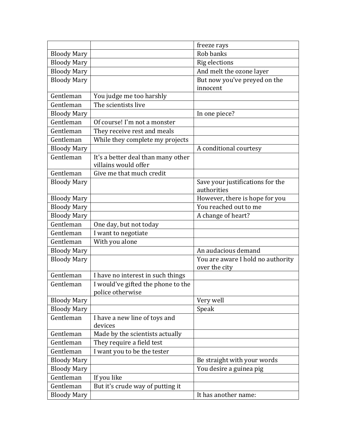|                    |                                    | freeze rays                       |
|--------------------|------------------------------------|-----------------------------------|
| <b>Bloody Mary</b> |                                    | Rob banks                         |
| <b>Bloody Mary</b> |                                    | Rig elections                     |
| <b>Bloody Mary</b> |                                    | And melt the ozone layer          |
| <b>Bloody Mary</b> |                                    | But now you've preyed on the      |
|                    |                                    | innocent                          |
| Gentleman          | You judge me too harshly           |                                   |
| Gentleman          | The scientists live                |                                   |
| <b>Bloody Mary</b> |                                    | In one piece?                     |
| Gentleman          | Of course! I'm not a monster       |                                   |
| Gentleman          | They receive rest and meals        |                                   |
| Gentleman          | While they complete my projects    |                                   |
| <b>Bloody Mary</b> |                                    | A conditional courtesy            |
| Gentleman          | It's a better deal than many other |                                   |
|                    | villains would offer               |                                   |
| Gentleman          | Give me that much credit           |                                   |
| <b>Bloody Mary</b> |                                    | Save your justifications for the  |
|                    |                                    | authorities                       |
| <b>Bloody Mary</b> |                                    | However, there is hope for you    |
| <b>Bloody Mary</b> |                                    | You reached out to me             |
| <b>Bloody Mary</b> |                                    | A change of heart?                |
| Gentleman          | One day, but not today             |                                   |
| Gentleman          | I want to negotiate                |                                   |
| Gentleman          | With you alone                     |                                   |
| <b>Bloody Mary</b> |                                    | An audacious demand               |
| <b>Bloody Mary</b> |                                    | You are aware I hold no authority |
|                    |                                    | over the city                     |
| Gentleman          | I have no interest in such things  |                                   |
| Gentleman          | I would've gifted the phone to the |                                   |
|                    | police otherwise                   |                                   |
| <b>Bloody Mary</b> |                                    | Very well                         |
| <b>Bloody Mary</b> |                                    | Speak                             |
| Gentleman          | I have a new line of toys and      |                                   |
|                    | devices                            |                                   |
| Gentleman          | Made by the scientists actually    |                                   |
| Gentleman          | They require a field test          |                                   |
| Gentleman          | I want you to be the tester        |                                   |
| <b>Bloody Mary</b> |                                    | Be straight with your words       |
| <b>Bloody Mary</b> |                                    | You desire a guinea pig           |
| Gentleman          | If you like                        |                                   |
| Gentleman          | But it's crude way of putting it   |                                   |
| <b>Bloody Mary</b> |                                    | It has another name:              |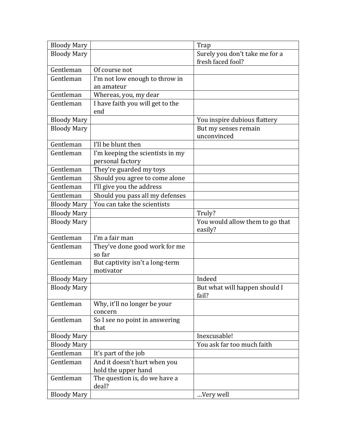| <b>Bloody Mary</b> |                                           | Trap                            |
|--------------------|-------------------------------------------|---------------------------------|
| <b>Bloody Mary</b> |                                           | Surely you don't take me for a  |
|                    |                                           | fresh faced fool?               |
| Gentleman          | Of course not                             |                                 |
| Gentleman          | I'm not low enough to throw in            |                                 |
|                    | an amateur                                |                                 |
| Gentleman          | Whereas, you, my dear                     |                                 |
| Gentleman          | I have faith you will get to the          |                                 |
|                    | end                                       |                                 |
| <b>Bloody Mary</b> |                                           | You inspire dubious flattery    |
| <b>Bloody Mary</b> |                                           | But my senses remain            |
|                    |                                           | unconvinced                     |
| Gentleman          | I'll be blunt then                        |                                 |
| Gentleman          | I'm keeping the scientists in my          |                                 |
|                    | personal factory                          |                                 |
| Gentleman          | They're guarded my toys                   |                                 |
| Gentleman          | Should you agree to come alone            |                                 |
| Gentleman          | I'll give you the address                 |                                 |
| Gentleman          | Should you pass all my defenses           |                                 |
| <b>Bloody Mary</b> | You can take the scientists               |                                 |
| <b>Bloody Mary</b> |                                           | Truly?                          |
| <b>Bloody Mary</b> |                                           | You would allow them to go that |
|                    |                                           | easily?                         |
| Gentleman          | I'm a fair man                            |                                 |
| Gentleman          | They've done good work for me             |                                 |
|                    | so far                                    |                                 |
| Gentleman          | But captivity isn't a long-term           |                                 |
|                    | motivator                                 |                                 |
| <b>Bloody Mary</b> |                                           | Indeed                          |
| <b>Bloody Mary</b> |                                           | But what will happen should I   |
|                    |                                           | fail?                           |
| Gentleman          | Why, it'll no longer be your              |                                 |
| Gentleman          | concern<br>So I see no point in answering |                                 |
|                    | that                                      |                                 |
| <b>Bloody Mary</b> |                                           | Inexcusable!                    |
| <b>Bloody Mary</b> |                                           | You ask far too much faith      |
| Gentleman          | It's part of the job                      |                                 |
| Gentleman          | And it doesn't hurt when you              |                                 |
|                    | hold the upper hand                       |                                 |
| Gentleman          | The question is, do we have a             |                                 |
|                    | deal?                                     |                                 |
| <b>Bloody Mary</b> |                                           | Very well                       |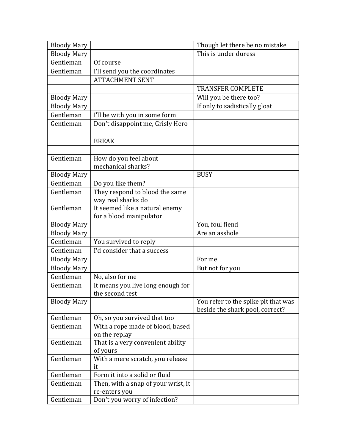| <b>Bloody Mary</b> |                                                    | Though let there be no mistake      |
|--------------------|----------------------------------------------------|-------------------------------------|
| <b>Bloody Mary</b> |                                                    | This is under duress                |
| Gentleman          | Of course                                          |                                     |
| Gentleman          | I'll send you the coordinates                      |                                     |
|                    | <b>ATTACHMENT SENT</b>                             |                                     |
|                    |                                                    | <b>TRANSFER COMPLETE</b>            |
| <b>Bloody Mary</b> |                                                    | Will you be there too?              |
| <b>Bloody Mary</b> |                                                    | If only to sadistically gloat       |
| Gentleman          | I'll be with you in some form                      |                                     |
| Gentleman          | Don't disappoint me, Grisly Hero                   |                                     |
|                    |                                                    |                                     |
|                    | <b>BREAK</b>                                       |                                     |
|                    |                                                    |                                     |
| Gentleman          | How do you feel about                              |                                     |
|                    | mechanical sharks?                                 |                                     |
| <b>Bloody Mary</b> |                                                    | <b>BUSY</b>                         |
| Gentleman          | Do you like them?                                  |                                     |
| Gentleman          | They respond to blood the same                     |                                     |
|                    | way real sharks do                                 |                                     |
| Gentleman          | It seemed like a natural enemy                     |                                     |
|                    | for a blood manipulator                            |                                     |
| <b>Bloody Mary</b> |                                                    | You, foul fiend                     |
| <b>Bloody Mary</b> |                                                    | Are an asshole                      |
| Gentleman          | You survived to reply                              |                                     |
| Gentleman          | I'd consider that a success                        |                                     |
| <b>Bloody Mary</b> |                                                    | For me                              |
| <b>Bloody Mary</b> |                                                    | But not for you                     |
| Gentleman          | No, also for me                                    |                                     |
| Gentleman          | It means you live long enough for                  |                                     |
|                    | the second test                                    |                                     |
| <b>Bloody Mary</b> |                                                    | You refer to the spike pit that was |
|                    |                                                    | beside the shark pool, correct?     |
| Gentleman          | Oh, so you survived that too                       |                                     |
| Gentleman          | With a rope made of blood, based                   |                                     |
| Gentleman          | on the replay<br>That is a very convenient ability |                                     |
|                    | of yours                                           |                                     |
| Gentleman          | With a mere scratch, you release                   |                                     |
|                    | it                                                 |                                     |
| Gentleman          | Form it into a solid or fluid                      |                                     |
| Gentleman          | Then, with a snap of your wrist, it                |                                     |
|                    | re-enters you                                      |                                     |
| Gentleman          | Don't you worry of infection?                      |                                     |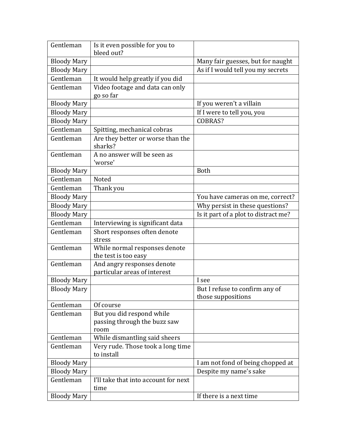| Gentleman          | Is it even possible for you to<br>bleed out?               |                                      |
|--------------------|------------------------------------------------------------|--------------------------------------|
| <b>Bloody Mary</b> |                                                            | Many fair guesses, but for naught    |
| <b>Bloody Mary</b> |                                                            | As if I would tell you my secrets    |
| Gentleman          | It would help greatly if you did                           |                                      |
| Gentleman          | Video footage and data can only                            |                                      |
|                    | go so far                                                  |                                      |
| <b>Bloody Mary</b> |                                                            | If you weren't a villain             |
| <b>Bloody Mary</b> |                                                            | If I were to tell you, you           |
| <b>Bloody Mary</b> |                                                            | COBRAS?                              |
| Gentleman          | Spitting, mechanical cobras                                |                                      |
| Gentleman          | Are they better or worse than the<br>sharks?               |                                      |
| Gentleman          | A no answer will be seen as<br>'worse'                     |                                      |
| <b>Bloody Mary</b> |                                                            | <b>Both</b>                          |
| Gentleman          | Noted                                                      |                                      |
| Gentleman          | Thank you                                                  |                                      |
| <b>Bloody Mary</b> |                                                            | You have cameras on me, correct?     |
| <b>Bloody Mary</b> |                                                            | Why persist in these questions?      |
| <b>Bloody Mary</b> |                                                            | Is it part of a plot to distract me? |
| Gentleman          | Interviewing is significant data                           |                                      |
| Gentleman          | Short responses often denote                               |                                      |
|                    | stress                                                     |                                      |
| Gentleman          | While normal responses denote                              |                                      |
|                    | the test is too easy                                       |                                      |
| Gentleman          | And angry responses denote<br>particular areas of interest |                                      |
| <b>Bloody Mary</b> |                                                            | I see                                |
| <b>Bloody Mary</b> |                                                            | But I refuse to confirm any of       |
|                    |                                                            | those suppositions                   |
| Gentleman          | Of course                                                  |                                      |
| Gentleman          | But you did respond while                                  |                                      |
|                    | passing through the buzz saw                               |                                      |
|                    | room                                                       |                                      |
| Gentleman          | While dismantling said sheers                              |                                      |
| Gentleman          | Very rude. Those took a long time                          |                                      |
|                    | to install                                                 |                                      |
| <b>Bloody Mary</b> |                                                            | I am not fond of being chopped at    |
| <b>Bloody Mary</b> |                                                            | Despite my name's sake               |
| Gentleman          | I'll take that into account for next                       |                                      |
| <b>Bloody Mary</b> | time                                                       | If there is a next time              |